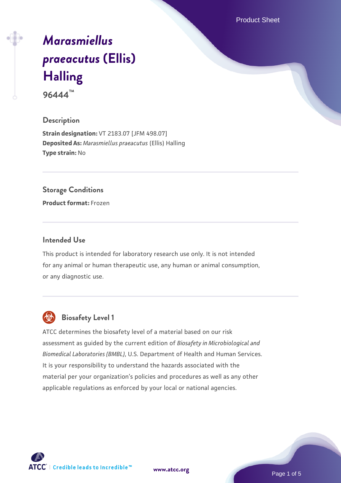Product Sheet

# *[Marasmiellus](https://www.atcc.org/products/96444) [praeacutus](https://www.atcc.org/products/96444)* **[\(Ellis\)](https://www.atcc.org/products/96444) [Halling](https://www.atcc.org/products/96444)**

**96444™**

#### **Description**

**Strain designation:** VT 2183.07 [JFM 498.07] **Deposited As:** *Marasmiellus praeacutus* (Ellis) Halling **Type strain:** No

#### **Storage Conditions**

**Product format:** Frozen

#### **Intended Use**

This product is intended for laboratory research use only. It is not intended for any animal or human therapeutic use, any human or animal consumption, or any diagnostic use.



## **Biosafety Level 1**

ATCC determines the biosafety level of a material based on our risk assessment as guided by the current edition of *Biosafety in Microbiological and Biomedical Laboratories (BMBL)*, U.S. Department of Health and Human Services. It is your responsibility to understand the hazards associated with the material per your organization's policies and procedures as well as any other applicable regulations as enforced by your local or national agencies.

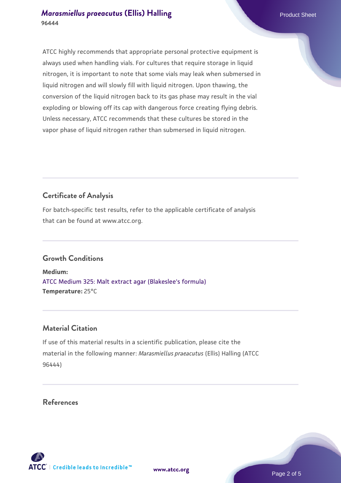#### *[Marasmiellus praeacutus](https://www.atcc.org/products/96444)* **[\(Ellis\) Halling](https://www.atcc.org/products/96444) Product Sheet Product Sheet Product Sheet 96444**

ATCC highly recommends that appropriate personal protective equipment is always used when handling vials. For cultures that require storage in liquid nitrogen, it is important to note that some vials may leak when submersed in liquid nitrogen and will slowly fill with liquid nitrogen. Upon thawing, the conversion of the liquid nitrogen back to its gas phase may result in the vial exploding or blowing off its cap with dangerous force creating flying debris. Unless necessary, ATCC recommends that these cultures be stored in the vapor phase of liquid nitrogen rather than submersed in liquid nitrogen.

## **Certificate of Analysis**

For batch-specific test results, refer to the applicable certificate of analysis that can be found at www.atcc.org.

## **Growth Conditions**

**Medium:**  [ATCC Medium 325: Malt extract agar \(Blakeslee's formula\)](https://www.atcc.org/-/media/product-assets/documents/microbial-media-formulations/3/2/5/atcc-medium-325.pdf?rev=146ec77015184a96912232dcb12386f9) **Temperature:** 25°C

## **Material Citation**

If use of this material results in a scientific publication, please cite the material in the following manner: *Marasmiellus praeacutus* (Ellis) Halling (ATCC 96444)

**References**



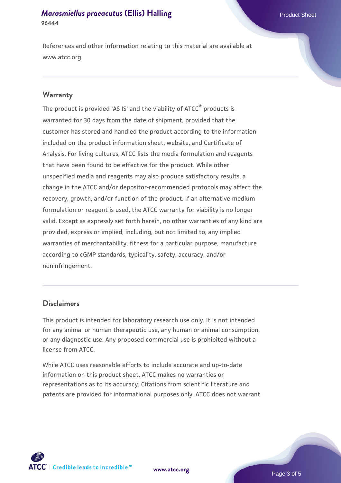#### *[Marasmiellus praeacutus](https://www.atcc.org/products/96444)* **[\(Ellis\) Halling](https://www.atcc.org/products/96444) Product Sheet Product Sheet Product Sheet 96444**

References and other information relating to this material are available at www.atcc.org.

#### **Warranty**

The product is provided 'AS IS' and the viability of ATCC® products is warranted for 30 days from the date of shipment, provided that the customer has stored and handled the product according to the information included on the product information sheet, website, and Certificate of Analysis. For living cultures, ATCC lists the media formulation and reagents that have been found to be effective for the product. While other unspecified media and reagents may also produce satisfactory results, a change in the ATCC and/or depositor-recommended protocols may affect the recovery, growth, and/or function of the product. If an alternative medium formulation or reagent is used, the ATCC warranty for viability is no longer valid. Except as expressly set forth herein, no other warranties of any kind are provided, express or implied, including, but not limited to, any implied warranties of merchantability, fitness for a particular purpose, manufacture according to cGMP standards, typicality, safety, accuracy, and/or noninfringement.

#### **Disclaimers**

This product is intended for laboratory research use only. It is not intended for any animal or human therapeutic use, any human or animal consumption, or any diagnostic use. Any proposed commercial use is prohibited without a license from ATCC.

While ATCC uses reasonable efforts to include accurate and up-to-date information on this product sheet, ATCC makes no warranties or representations as to its accuracy. Citations from scientific literature and patents are provided for informational purposes only. ATCC does not warrant



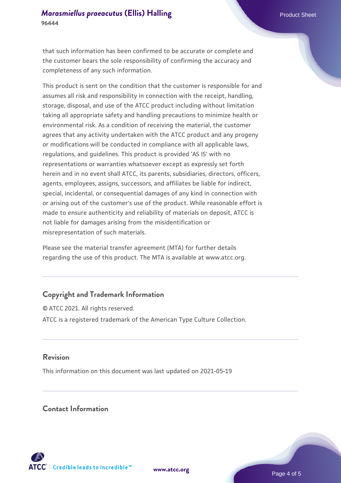#### *[Marasmiellus praeacutus](https://www.atcc.org/products/96444)* **[\(Ellis\) Halling](https://www.atcc.org/products/96444) Product Sheet Product Sheet Product Sheet 96444**

that such information has been confirmed to be accurate or complete and the customer bears the sole responsibility of confirming the accuracy and completeness of any such information.

This product is sent on the condition that the customer is responsible for and assumes all risk and responsibility in connection with the receipt, handling, storage, disposal, and use of the ATCC product including without limitation taking all appropriate safety and handling precautions to minimize health or environmental risk. As a condition of receiving the material, the customer agrees that any activity undertaken with the ATCC product and any progeny or modifications will be conducted in compliance with all applicable laws, regulations, and guidelines. This product is provided 'AS IS' with no representations or warranties whatsoever except as expressly set forth herein and in no event shall ATCC, its parents, subsidiaries, directors, officers, agents, employees, assigns, successors, and affiliates be liable for indirect, special, incidental, or consequential damages of any kind in connection with or arising out of the customer's use of the product. While reasonable effort is made to ensure authenticity and reliability of materials on deposit, ATCC is not liable for damages arising from the misidentification or misrepresentation of such materials.

Please see the material transfer agreement (MTA) for further details regarding the use of this product. The MTA is available at www.atcc.org.

### **Copyright and Trademark Information**

© ATCC 2021. All rights reserved. ATCC is a registered trademark of the American Type Culture Collection.

#### **Revision**

This information on this document was last updated on 2021-05-19

#### **Contact Information**



**[www.atcc.org](http://www.atcc.org)**